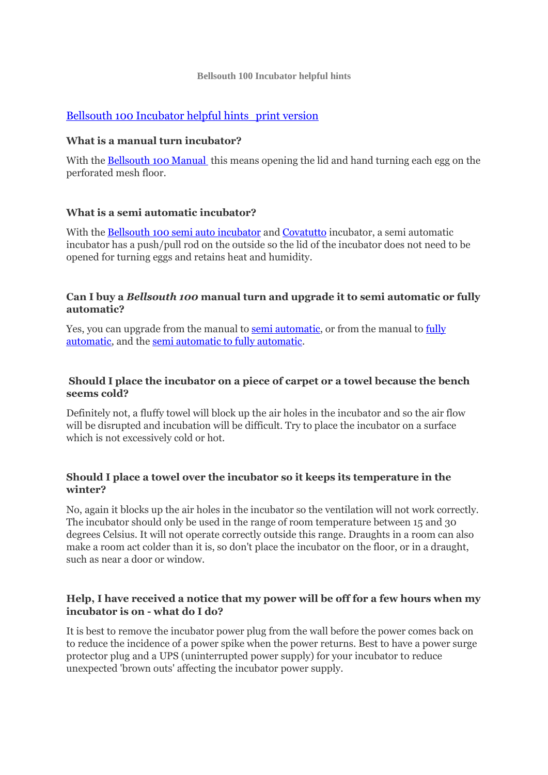#### **Bellsouth 100 Incubator helpful hints**

# [Bellsouth 100 Incubator helpful hints\\_print version](http://www.bellsouth.com.au/wp-content/uploads/2015/07/Bellsouth-100-Incubator-helpful-hints_print-version.pdf)

### **What is a manual turn incubator?**

With the [Bellsouth 100 Manual](http://eshop.bellsouth.com.au/epages/bellsouth.sf/en_AU/?ObjectPath=/Shops/bellsouth/Products/B100) this means opening the lid and hand turning each egg on the perforated mesh floor.

### **What is a semi automatic incubator?**

With the [Bellsouth 100 semi auto incubator](http://eshop.bellsouth.com.au/epages/bellsouth.sf/en_AU/?ObjectPath=/Shops/bellsouth/Products/B100SEMI) and [Covatutto](http://eshop.bellsouth.com.au/epages/bellsouth.sf/en_AU/?ObjectPath=/Shops/bellsouth/Categories/I/CB) incubator, a semi automatic incubator has a push/pull rod on the outside so the lid of the incubator does not need to be opened for turning eggs and retains heat and humidity.

### **Can I buy a** *Bellsouth 100* **manual turn and upgrade it to semi automatic or fully automatic?**

Yes, you can upgrade from the manual to [semi automatic,](http://eshop.bellsouth.com.au/epages/bellsouth.sf/en_AU/?ObjectPath=/Shops/bellsouth/Products/B100SAT) or from the manual to [fully](http://eshop.bellsouth.com.au/epages/bellsouth.sf/en_AU/?ObjectPath=/Shops/bellsouth/Products/B100TA)  [automatic,](http://eshop.bellsouth.com.au/epages/bellsouth.sf/en_AU/?ObjectPath=/Shops/bellsouth/Products/B100TA) and the [semi automatic to fully automatic.](http://eshop.bellsouth.com.au/epages/bellsouth.sf/en_AU/?ObjectPath=/Shops/bellsouth/Products/B100TAK)

### **Should I place the incubator on a piece of carpet or a towel because the bench seems cold?**

Definitely not, a fluffy towel will block up the air holes in the incubator and so the air flow will be disrupted and incubation will be difficult. Try to place the incubator on a surface which is not excessively cold or hot.

### **Should I place a towel over the incubator so it keeps its temperature in the winter?**

No, again it blocks up the air holes in the incubator so the ventilation will not work correctly. The incubator should only be used in the range of room temperature between 15 and 30 degrees Celsius. It will not operate correctly outside this range. Draughts in a room can also make a room act colder than it is, so don't place the incubator on the floor, or in a draught, such as near a door or window.

### **Help, I have received a notice that my power will be off for a few hours when my incubator is on - what do I do?**

It is best to remove the incubator power plug from the wall before the power comes back on to reduce the incidence of a power spike when the power returns. Best to have a power surge protector plug and a UPS (uninterrupted power supply) for your incubator to reduce unexpected 'brown outs' affecting the incubator power supply.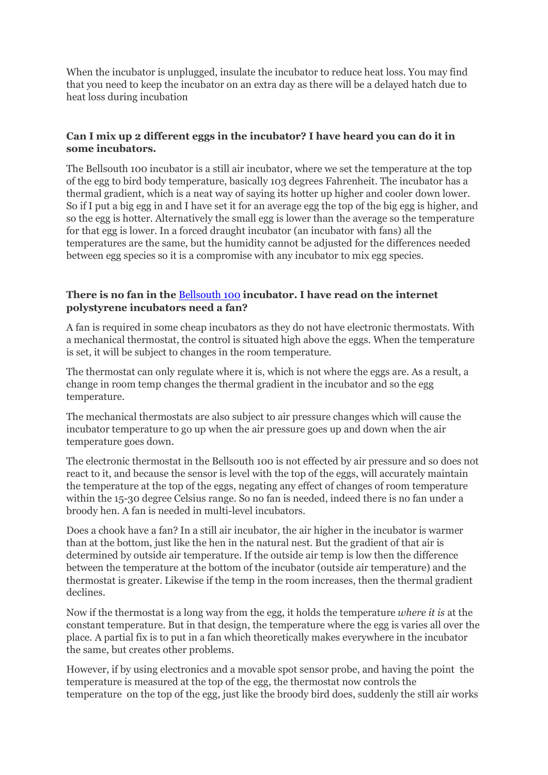When the incubator is unplugged, insulate the incubator to reduce heat loss. You may find that you need to keep the incubator on an extra day as there will be a delayed hatch due to heat loss during incubation

## **Can I mix up 2 different eggs in the incubator? I have heard you can do it in some incubators.**

The Bellsouth 100 incubator is a still air incubator, where we set the temperature at the top of the egg to bird body temperature, basically 103 degrees Fahrenheit. The incubator has a thermal gradient, which is a neat way of saying its hotter up higher and cooler down lower. So if I put a big egg in and I have set it for an average egg the top of the big egg is higher, and so the egg is hotter. Alternatively the small egg is lower than the average so the temperature for that egg is lower. In a forced draught incubator (an incubator with fans) all the temperatures are the same, but the humidity cannot be adjusted for the differences needed between egg species so it is a compromise with any incubator to mix egg species.

### **There is no fan in the** [Bellsouth 100](http://eshop.bellsouth.com.au/epages/bellsouth.sf/en_AU/?ObjectPath=/Shops/bellsouth/Categories/I/B100) **incubator. I have read on the internet polystyrene incubators need a fan?**

A fan is required in some cheap incubators as they do not have electronic thermostats. With a mechanical thermostat, the control is situated high above the eggs. When the temperature is set, it will be subject to changes in the room temperature.

The thermostat can only regulate where it is, which is not where the eggs are. As a result, a change in room temp changes the thermal gradient in the incubator and so the egg temperature.

The mechanical thermostats are also subject to air pressure changes which will cause the incubator temperature to go up when the air pressure goes up and down when the air temperature goes down.

The electronic thermostat in the Bellsouth 100 is not effected by air pressure and so does not react to it, and because the sensor is level with the top of the eggs, will accurately maintain the temperature at the top of the eggs, negating any effect of changes of room temperature within the 15-30 degree Celsius range. So no fan is needed, indeed there is no fan under a broody hen. A fan is needed in multi-level incubators.

Does a chook have a fan? In a still air incubator, the air higher in the incubator is warmer than at the bottom, just like the hen in the natural nest. But the gradient of that air is determined by outside air temperature. If the outside air temp is low then the difference between the temperature at the bottom of the incubator (outside air temperature) and the thermostat is greater. Likewise if the temp in the room increases, then the thermal gradient declines.

Now if the thermostat is a long way from the egg, it holds the temperature *where it is* at the constant temperature. But in that design, the temperature where the egg is varies all over the place. A partial fix is to put in a fan which theoretically makes everywhere in the incubator the same, but creates other problems.

However, if by using electronics and a movable spot sensor probe, and having the point the temperature is measured at the top of the egg, the thermostat now controls the temperature on the top of the egg, just like the broody bird does, suddenly the still air works